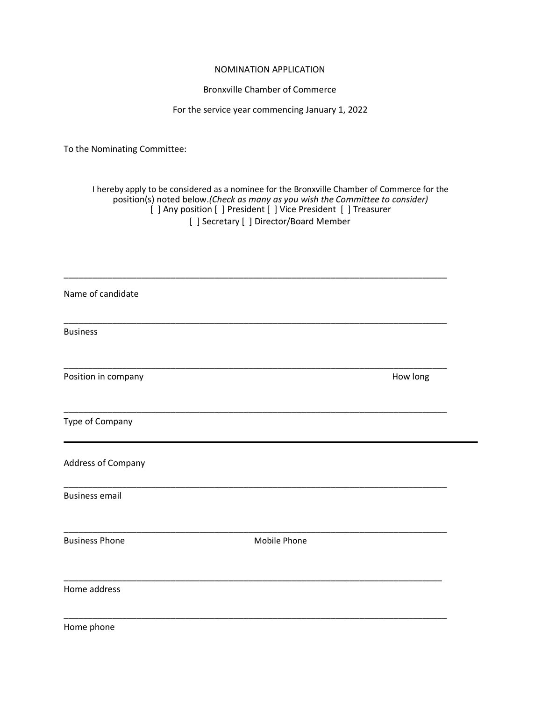## NOMINATION APPLICATION

## Bronxville Chamber of Commerce

## For the service year commencing January 1, 2022

To the Nominating Committee:

## I hereby apply to be considered as a nominee for the Bronxville Chamber of Commerce for the position(s) noted below.*(Check as many as you wish the Committee to consider)* [ ] Any position [ ] President [ ] Vice President [ ] Treasurer [ ] Secretary [ ] Director/Board Member

| Name of candidate     |              |          |
|-----------------------|--------------|----------|
| <b>Business</b>       |              |          |
| Position in company   |              | How long |
| Type of Company       |              |          |
| Address of Company    |              |          |
| <b>Business email</b> |              |          |
| <b>Business Phone</b> | Mobile Phone |          |
| Home address          |              |          |
| Home phone            |              |          |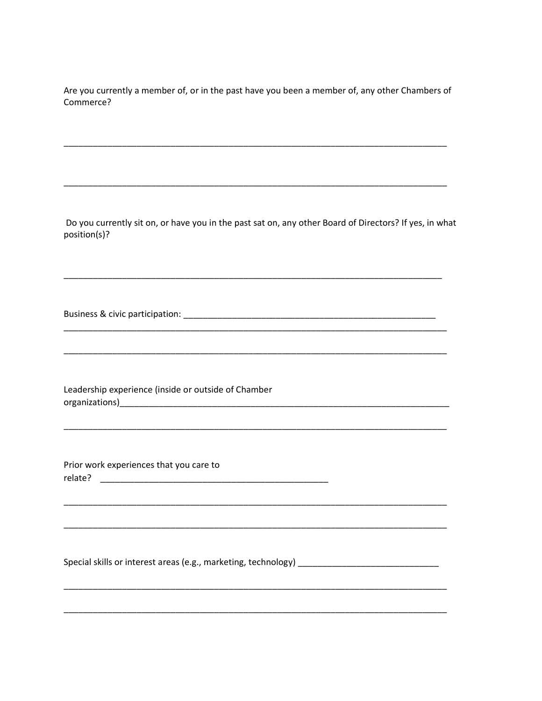Are you currently a member of, or in the past have you been a member of, any other Chambers of Commerce?

Do you currently sit on, or have you in the past sat on, any other Board of Directors? If yes, in what position(s)?

Business & civic participation: example of the state of the state of the state of the state of the state of the state of the state of the state of the state of the state of the state of the state of the state of the state

Leadership experience (inside or outside of Chamber 

Prior work experiences that you care to